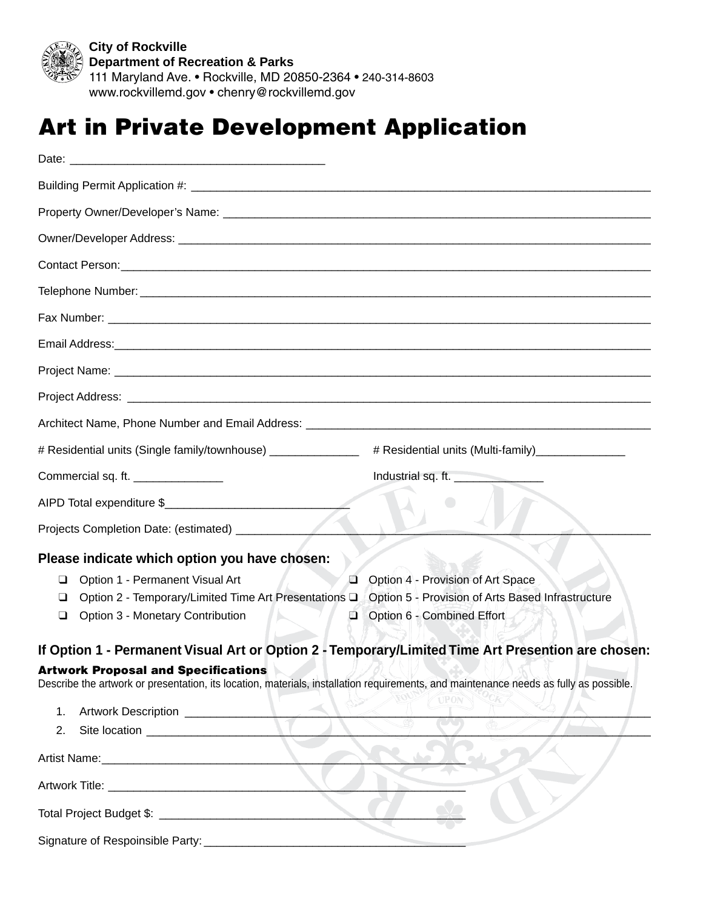

*Publicly Accessible Art in Private Development* 111 Maryland Ave. • Rockville, MD 20850-2364 • 240-314-8603 **City of Rockville Department of Recreation & Parks** www.rockvillemd.gov • chenry@rockvillemd.gov

## Art in Private Development Application

| Email Address: <u>Communications</u> Construction and Construction and Construction and Construction and Construction                                                                                                                                                                     |
|-------------------------------------------------------------------------------------------------------------------------------------------------------------------------------------------------------------------------------------------------------------------------------------------|
|                                                                                                                                                                                                                                                                                           |
|                                                                                                                                                                                                                                                                                           |
|                                                                                                                                                                                                                                                                                           |
| # Residential units (Single family/townhouse) ______________<br># Residential units (Multi-family)__________________                                                                                                                                                                      |
| Commercial sq. ft. _______________<br>Industrial sq. ft.                                                                                                                                                                                                                                  |
| AIPD Total expenditure \$                                                                                                                                                                                                                                                                 |
|                                                                                                                                                                                                                                                                                           |
| Please indicate which option you have chosen:                                                                                                                                                                                                                                             |
| Option 1 - Permanent Visual Art<br>Option 4 - Provision of Art Space<br>$\Box$<br>❏<br>Option 5 - Provision of Arts Based Infrastructure<br>Option 2 - Temporary/Limited Time Art Presentations Q<br>❏<br>Option 3 - Monetary Contribution<br>Option 6 - Combined Effort<br>❏<br>$\Box$   |
| If Option 1 - Permanent Visual Art or Option 2 - Temporary/Limited Time Art Presention are chosen:<br><b>Artwork Proposal and Specifications</b><br>Describe the artwork or presentation, its location, materials, installation requirements, and maintenance needs as fully as possible. |
| <b>UPON</b><br>1.<br>2.                                                                                                                                                                                                                                                                   |
|                                                                                                                                                                                                                                                                                           |
|                                                                                                                                                                                                                                                                                           |
|                                                                                                                                                                                                                                                                                           |
| Signature of Respoinsible Party: _________                                                                                                                                                                                                                                                |